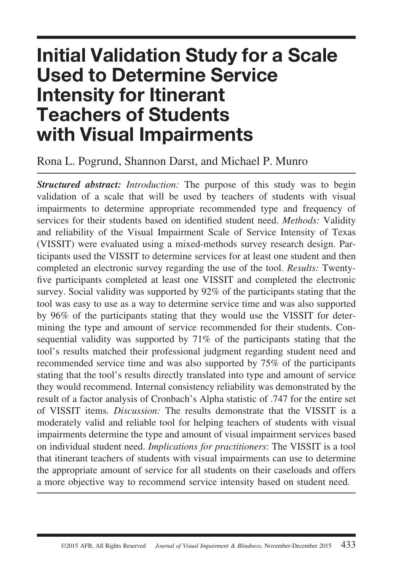# **Initial Validation Study for a Scale Used to Determine Service Intensity for Itinerant Teachers of Students with Visual Impairments**

Rona L. Pogrund, Shannon Darst, and Michael P. Munro

*Structured abstract: Introduction:* The purpose of this study was to begin validation of a scale that will be used by teachers of students with visual impairments to determine appropriate recommended type and frequency of services for their students based on identified student need. *Methods:* Validity and reliability of the Visual Impairment Scale of Service Intensity of Texas (VISSIT) were evaluated using a mixed-methods survey research design. Participants used the VISSIT to determine services for at least one student and then completed an electronic survey regarding the use of the tool. *Results:* Twentyfive participants completed at least one VISSIT and completed the electronic survey. Social validity was supported by 92% of the participants stating that the tool was easy to use as a way to determine service time and was also supported by 96% of the participants stating that they would use the VISSIT for determining the type and amount of service recommended for their students. Consequential validity was supported by 71% of the participants stating that the tool's results matched their professional judgment regarding student need and recommended service time and was also supported by 75% of the participants stating that the tool's results directly translated into type and amount of service they would recommend. Internal consistency reliability was demonstrated by the result of a factor analysis of Cronbach's Alpha statistic of .747 for the entire set of VISSIT items*. Discussion:* The results demonstrate that the VISSIT is a moderately valid and reliable tool for helping teachers of students with visual impairments determine the type and amount of visual impairment services based on individual student need. *Implications for practitioners*: The VISSIT is a tool that itinerant teachers of students with visual impairments can use to determine the appropriate amount of service for all students on their caseloads and offers a more objective way to recommend service intensity based on student need.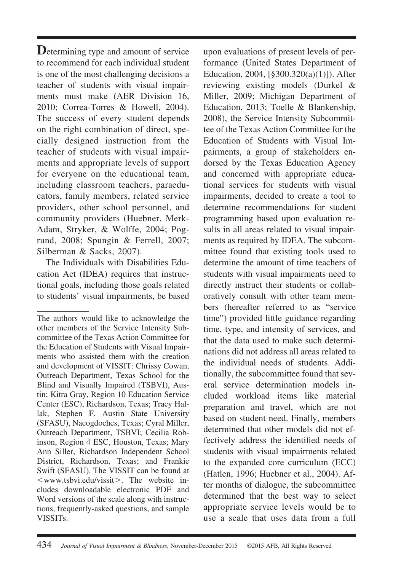**D**etermining type and amount of service to recommend for each individual student is one of the most challenging decisions a teacher of students with visual impairments must make (AER Division 16, 2010; Correa-Torres & Howell, 2004). The success of every student depends on the right combination of direct, specially designed instruction from the teacher of students with visual impairments and appropriate levels of support for everyone on the educational team, including classroom teachers, paraeducators, family members, related service providers, other school personnel, and community providers (Huebner, Merk-Adam, Stryker, & Wolffe, 2004; Pogrund, 2008; Spungin & Ferrell, 2007; Silberman & Sacks, 2007).

The Individuals with Disabilities Education Act (IDEA) requires that instructional goals, including those goals related to students' visual impairments, be based upon evaluations of present levels of performance (United States Department of Education, 2004, [§300.320(a)(1)]). After reviewing existing models (Durkel & Miller, 2009; Michigan Department of Education, 2013; Toelle & Blankenship, 2008), the Service Intensity Subcommittee of the Texas Action Committee for the Education of Students with Visual Impairments, a group of stakeholders endorsed by the Texas Education Agency and concerned with appropriate educational services for students with visual impairments, decided to create a tool to determine recommendations for student programming based upon evaluation results in all areas related to visual impairments as required by IDEA. The subcommittee found that existing tools used to determine the amount of time teachers of students with visual impairments need to directly instruct their students or collaboratively consult with other team members (hereafter referred to as "service time") provided little guidance regarding time, type, and intensity of services, and that the data used to make such determinations did not address all areas related to the individual needs of students. Additionally, the subcommittee found that several service determination models included workload items like material preparation and travel, which are not based on student need. Finally, members determined that other models did not effectively address the identified needs of students with visual impairments related to the expanded core curriculum (ECC) (Hatlen, 1996; Huebner et al., 2004). After months of dialogue, the subcommittee determined that the best way to select appropriate service levels would be to use a scale that uses data from a full

The authors would like to acknowledge the other members of the Service Intensity Subcommittee of the Texas Action Committee for the Education of Students with Visual Impairments who assisted them with the creation and development of VISSIT: Chrissy Cowan, Outreach Department, Texas School for the Blind and Visually Impaired (TSBVI), Austin; Kitra Gray, Region 10 Education Service Center (ESC), Richardson, Texas; Tracy Hallak, Stephen F. Austin State University (SFASU), Nacogdoches, Texas; Cyral Miller, Outreach Department, TSBVI; Cecilia Robinson, Region 4 ESC, Houston, Texas; Mary Ann Siller, Richardson Independent School District, Richardson, Texas; and Frankie Swift (SFASU). The VISSIT can be found at <www.tsbvi.edu/vissit>. The website includes downloadable electronic PDF and Word versions of the scale along with instructions, frequently-asked questions, and sample VISSITs.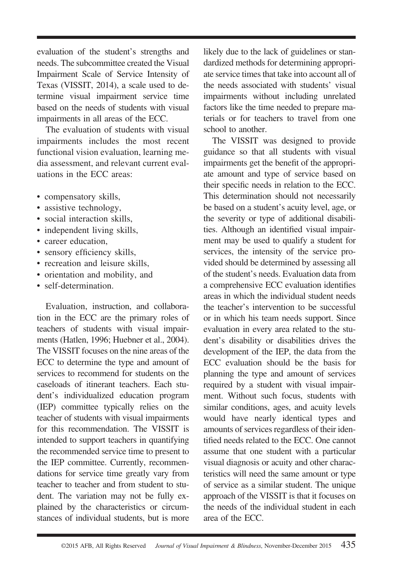evaluation of the student's strengths and needs. The subcommittee created the Visual Impairment Scale of Service Intensity of Texas (VISSIT, 2014), a scale used to determine visual impairment service time based on the needs of students with visual impairments in all areas of the ECC.

The evaluation of students with visual impairments includes the most recent functional vision evaluation, learning media assessment, and relevant current evaluations in the ECC areas:

- compensatory skills,
- assistive technology,
- social interaction skills.
- independent living skills,
- career education,
- sensory efficiency skills,
- recreation and leisure skills.
- orientation and mobility, and
- self-determination.

Evaluation, instruction, and collaboration in the ECC are the primary roles of teachers of students with visual impairments (Hatlen, 1996; Huebner et al., 2004). The VISSIT focuses on the nine areas of the ECC to determine the type and amount of services to recommend for students on the caseloads of itinerant teachers. Each student's individualized education program (IEP) committee typically relies on the teacher of students with visual impairments for this recommendation. The VISSIT is intended to support teachers in quantifying the recommended service time to present to the IEP committee. Currently, recommendations for service time greatly vary from teacher to teacher and from student to student. The variation may not be fully explained by the characteristics or circumstances of individual students, but is more likely due to the lack of guidelines or standardized methods for determining appropriate service times that take into account all of the needs associated with students' visual impairments without including unrelated factors like the time needed to prepare materials or for teachers to travel from one school to another.

The VISSIT was designed to provide guidance so that all students with visual impairments get the benefit of the appropriate amount and type of service based on their specific needs in relation to the ECC. This determination should not necessarily be based on a student's acuity level, age, or the severity or type of additional disabilities. Although an identified visual impairment may be used to qualify a student for services, the intensity of the service provided should be determined by assessing all of the student's needs. Evaluation data from a comprehensive ECC evaluation identifies areas in which the individual student needs the teacher's intervention to be successful or in which his team needs support. Since evaluation in every area related to the student's disability or disabilities drives the development of the IEP, the data from the ECC evaluation should be the basis for planning the type and amount of services required by a student with visual impairment. Without such focus, students with similar conditions, ages, and acuity levels would have nearly identical types and amounts of services regardless of their identified needs related to the ECC. One cannot assume that one student with a particular visual diagnosis or acuity and other characteristics will need the same amount or type of service as a similar student. The unique approach of the VISSIT is that it focuses on the needs of the individual student in each area of the ECC.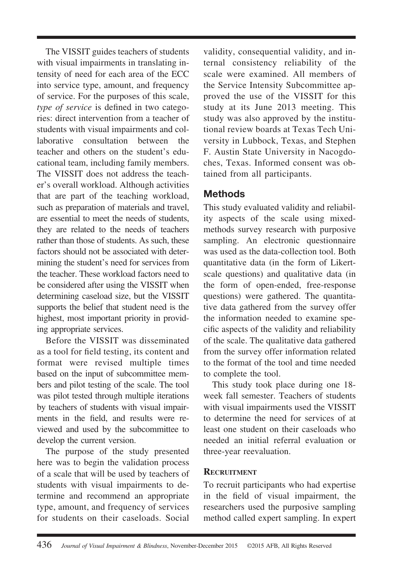The VISSIT guides teachers of students with visual impairments in translating intensity of need for each area of the ECC into service type, amount, and frequency of service. For the purposes of this scale, *type of service* is defined in two categories: direct intervention from a teacher of students with visual impairments and collaborative consultation between the teacher and others on the student's educational team, including family members. The VISSIT does not address the teacher's overall workload. Although activities that are part of the teaching workload, such as preparation of materials and travel, are essential to meet the needs of students, they are related to the needs of teachers rather than those of students. As such, these factors should not be associated with determining the student's need for services from the teacher. These workload factors need to be considered after using the VISSIT when determining caseload size, but the VISSIT supports the belief that student need is the highest, most important priority in providing appropriate services.

Before the VISSIT was disseminated as a tool for field testing, its content and format were revised multiple times based on the input of subcommittee members and pilot testing of the scale. The tool was pilot tested through multiple iterations by teachers of students with visual impairments in the field, and results were reviewed and used by the subcommittee to develop the current version.

The purpose of the study presented here was to begin the validation process of a scale that will be used by teachers of students with visual impairments to determine and recommend an appropriate type, amount, and frequency of services for students on their caseloads. Social

validity, consequential validity, and internal consistency reliability of the scale were examined. All members of the Service Intensity Subcommittee approved the use of the VISSIT for this study at its June 2013 meeting. This study was also approved by the institutional review boards at Texas Tech University in Lubbock, Texas, and Stephen F. Austin State University in Nacogdoches, Texas. Informed consent was obtained from all participants.

# **Methods**

This study evaluated validity and reliability aspects of the scale using mixedmethods survey research with purposive sampling. An electronic questionnaire was used as the data-collection tool. Both quantitative data (in the form of Likertscale questions) and qualitative data (in the form of open-ended, free-response questions) were gathered. The quantitative data gathered from the survey offer the information needed to examine specific aspects of the validity and reliability of the scale. The qualitative data gathered from the survey offer information related to the format of the tool and time needed to complete the tool.

This study took place during one 18 week fall semester. Teachers of students with visual impairments used the VISSIT to determine the need for services of at least one student on their caseloads who needed an initial referral evaluation or three-year reevaluation.

## **RECRUITMENT**

To recruit participants who had expertise in the field of visual impairment, the researchers used the purposive sampling method called expert sampling. In expert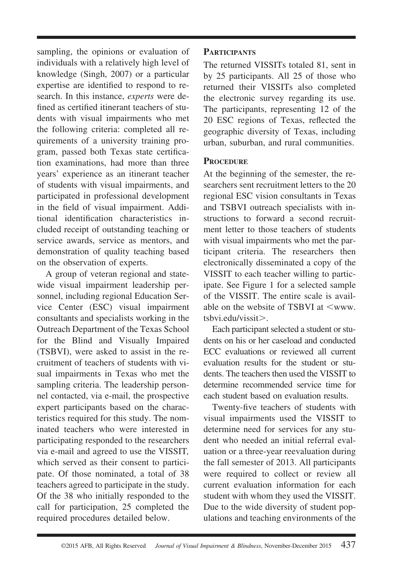sampling, the opinions or evaluation of individuals with a relatively high level of knowledge (Singh, 2007) or a particular expertise are identified to respond to research. In this instance, *experts* were defined as certified itinerant teachers of students with visual impairments who met the following criteria: completed all requirements of a university training program, passed both Texas state certification examinations, had more than three years' experience as an itinerant teacher of students with visual impairments, and participated in professional development in the field of visual impairment. Additional identification characteristics included receipt of outstanding teaching or service awards, service as mentors, and demonstration of quality teaching based on the observation of experts.

A group of veteran regional and statewide visual impairment leadership personnel, including regional Education Service Center (ESC) visual impairment consultants and specialists working in the Outreach Department of the Texas School for the Blind and Visually Impaired (TSBVI), were asked to assist in the recruitment of teachers of students with visual impairments in Texas who met the sampling criteria. The leadership personnel contacted, via e-mail, the prospective expert participants based on the characteristics required for this study. The nominated teachers who were interested in participating responded to the researchers via e-mail and agreed to use the VISSIT*,* which served as their consent to participate. Of those nominated, a total of 38 teachers agreed to participate in the study. Of the 38 who initially responded to the call for participation, 25 completed the required procedures detailed below.

## **PARTICIPANTS**

The returned VISSITs totaled 81, sent in by 25 participants. All 25 of those who returned their VISSITs also completed the electronic survey regarding its use. The participants, representing 12 of the 20 ESC regions of Texas, reflected the geographic diversity of Texas, including urban, suburban, and rural communities.

## **PROCEDURE**

At the beginning of the semester, the researchers sent recruitment letters to the 20 regional ESC vision consultants in Texas and TSBVI outreach specialists with instructions to forward a second recruitment letter to those teachers of students with visual impairments who met the participant criteria. The researchers then electronically disseminated a copy of the VISSIT to each teacher willing to participate. See Figure 1 for a selected sample of the VISSIT. The entire scale is available on the website of TSBVI at  $\leq$ [www.](www.tsbvi.edu/vissit) [tsbvi.edu/vissit](www.tsbvi.edu/vissit)>.

Each participant selected a student or students on his or her caseload and conducted ECC evaluations or reviewed all current evaluation results for the student or students. The teachers then used the VISSIT to determine recommended service time for each student based on evaluation results.

Twenty-five teachers of students with visual impairments used the VISSIT to determine need for services for any student who needed an initial referral evaluation or a three-year reevaluation during the fall semester of 2013. All participants were required to collect or review all current evaluation information for each student with whom they used the VISSIT. Due to the wide diversity of student populations and teaching environments of the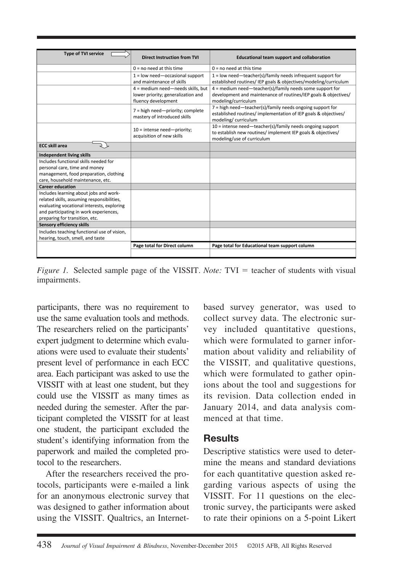| <b>Type of TVI service</b>                                        | <b>Direct Instruction from TVI</b>                                                             | <b>Educational team support and collaboration</b>                                                                                                       |  |  |
|-------------------------------------------------------------------|------------------------------------------------------------------------------------------------|---------------------------------------------------------------------------------------------------------------------------------------------------------|--|--|
|                                                                   | $0 = no need at this time$                                                                     | $0 =$ no need at this time                                                                                                                              |  |  |
|                                                                   | $1 =$ low need-occasional support<br>and maintenance of skills                                 | $1 =$ low need—teacher(s)/family needs infrequent support for<br>established routines/ IEP goals & objectives/modeling/curriculum                       |  |  |
|                                                                   | 4 = medium need-needs skills, but<br>lower priority; generalization and<br>fluency development | 4 = medium need-teacher(s)/family needs some support for<br>development and maintenance of routines/IEP goals & objectives/<br>modeling/curriculum      |  |  |
|                                                                   | $7 =$ high need-priority; complete<br>mastery of introduced skills                             | 7 = high need-teacher(s)/family needs ongoing support for<br>established routines/ implementation of IEP goals & objectives/<br>modeling/curriculum     |  |  |
|                                                                   | $10 =$ intense need-priority;<br>acquisition of new skills                                     | 10 = intense need-teacher(s)/family needs ongoing support<br>to establish new routines/ implement IEP goals & objectives/<br>modeling/use of curriculum |  |  |
| <b>ECC skill area</b>                                             |                                                                                                |                                                                                                                                                         |  |  |
| <b>Independent living skills</b>                                  |                                                                                                |                                                                                                                                                         |  |  |
| Includes functional skills needed for                             |                                                                                                |                                                                                                                                                         |  |  |
| personal care, time and money                                     |                                                                                                |                                                                                                                                                         |  |  |
| management, food preparation, clothing                            |                                                                                                |                                                                                                                                                         |  |  |
| care, household maintenance, etc.                                 |                                                                                                |                                                                                                                                                         |  |  |
| <b>Career education</b><br>Includes learning about jobs and work- |                                                                                                |                                                                                                                                                         |  |  |
| related skills, assuming responsibilities,                        |                                                                                                |                                                                                                                                                         |  |  |
| evaluating vocational interests, exploring                        |                                                                                                |                                                                                                                                                         |  |  |
| and participating in work experiences,                            |                                                                                                |                                                                                                                                                         |  |  |
| preparing for transition, etc.                                    |                                                                                                |                                                                                                                                                         |  |  |
| <b>Sensory efficiency skills</b>                                  |                                                                                                |                                                                                                                                                         |  |  |
| Includes teaching functional use of vision,                       |                                                                                                |                                                                                                                                                         |  |  |
| hearing, touch, smell, and taste                                  |                                                                                                |                                                                                                                                                         |  |  |
|                                                                   | Page total for Direct column                                                                   | Page total for Educational team support column                                                                                                          |  |  |
|                                                                   |                                                                                                |                                                                                                                                                         |  |  |

*Figure 1.* Selected sample page of the VISSIT. *Note:* TVI = teacher of students with visual impairments.

participants, there was no requirement to use the same evaluation tools and methods. The researchers relied on the participants' expert judgment to determine which evaluations were used to evaluate their students' present level of performance in each ECC area. Each participant was asked to use the VISSIT with at least one student, but they could use the VISSIT as many times as needed during the semester. After the participant completed the VISSIT for at least one student, the participant excluded the student's identifying information from the paperwork and mailed the completed protocol to the researchers.

After the researchers received the protocols, participants were e-mailed a link for an anonymous electronic survey that was designed to gather information about using the VISSIT. Qualtrics, an Internetbased survey generator, was used to collect survey data. The electronic survey included quantitative questions, which were formulated to garner information about validity and reliability of the VISSIT*,* and qualitative questions, which were formulated to gather opinions about the tool and suggestions for its revision. Data collection ended in January 2014, and data analysis commenced at that time.

## **Results**

Descriptive statistics were used to determine the means and standard deviations for each quantitative question asked regarding various aspects of using the VISSIT. For 11 questions on the electronic survey, the participants were asked to rate their opinions on a 5-point Likert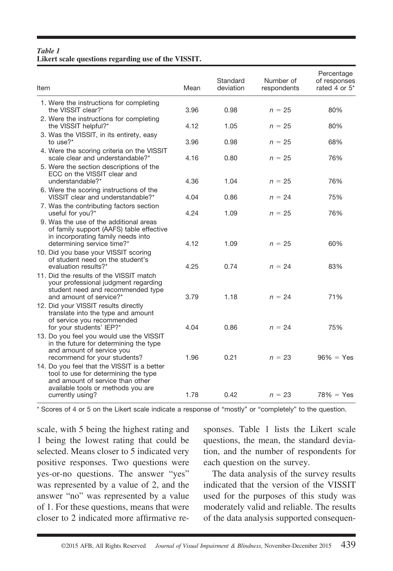#### *Table 1* **Likert scale questions regarding use of the VISSIT.**

| Item |                                                                                                                                                               | Mean | Standard<br>deviation | Number of<br>respondents | Percentage<br>of responses<br>rated 4 or $5^*$ |
|------|---------------------------------------------------------------------------------------------------------------------------------------------------------------|------|-----------------------|--------------------------|------------------------------------------------|
|      | 1. Were the instructions for completing<br>the VISSIT clear?*                                                                                                 | 3.96 | 0.98                  | $n = 25$                 | 80%                                            |
|      | 2. Were the instructions for completing<br>the VISSIT helpful?*                                                                                               | 4.12 | 1.05                  | $n = 25$                 | 80%                                            |
|      | 3. Was the VISSIT, in its entirety, easy<br>to use? $*$                                                                                                       | 3.96 | 0.98                  | $n = 25$                 | 68%                                            |
|      | 4. Were the scoring criteria on the VISSIT<br>scale clear and understandable?*                                                                                | 4.16 | 0.80                  | $n = 25$                 | 76%                                            |
|      | 5. Were the section descriptions of the<br>ECC on the VISSIT clear and<br>understandable?*                                                                    | 4.36 | 1.04                  | $n = 25$                 | 76%                                            |
|      | 6. Were the scoring instructions of the<br>VISSIT clear and understandable?*                                                                                  | 4.04 | 0.86                  | $n = 24$                 | 75%                                            |
|      | 7. Was the contributing factors section<br>useful for you?*                                                                                                   | 4.24 | 1.09                  | $n = 25$                 | 76%                                            |
|      | 9. Was the use of the additional areas<br>of family support (AAFS) table effective<br>in incorporating family needs into<br>determining service time?*        | 4.12 | 1.09                  | $n = 25$                 | 60%                                            |
|      | 10. Did you base your VISSIT scoring<br>of student need on the student's<br>evaluation results?*                                                              | 4.25 | 0.74                  | $n = 24$                 | 83%                                            |
|      | 11. Did the results of the VISSIT match<br>your professional judgment regarding<br>student need and recommended type<br>and amount of service?*               | 3.79 | 1.18                  | $n = 24$                 | 71%                                            |
|      | 12. Did your VISSIT results directly<br>translate into the type and amount<br>of service you recommended<br>for your students' IEP?*                          | 4.04 | 0.86                  | $n = 24$                 | 75%                                            |
|      | 13. Do you feel you would use the VISSIT<br>in the future for determining the type<br>and amount of service you<br>recommend for your students?               | 1.96 | 0.21                  | $n = 23$                 | $96\% = Yes$                                   |
|      | 14. Do you feel that the VISSIT is a better<br>tool to use for determining the type<br>and amount of service than other<br>available tools or methods you are |      |                       |                          |                                                |
|      | currently using?                                                                                                                                              | 1.78 | 0.42                  | $n = 23$                 | $78\% = Yes$                                   |

\* Scores of 4 or 5 on the Likert scale indicate a response of "mostly" or "completely" to the question.

scale, with 5 being the highest rating and 1 being the lowest rating that could be selected. Means closer to 5 indicated very positive responses. Two questions were yes-or-no questions. The answer "yes" was represented by a value of 2, and the answer "no" was represented by a value of 1. For these questions, means that were closer to 2 indicated more affirmative re-

sponses. Table 1 lists the Likert scale questions, the mean, the standard deviation, and the number of respondents for each question on the survey.

The data analysis of the survey results indicated that the version of the VISSIT used for the purposes of this study was moderately valid and reliable. The results of the data analysis supported consequen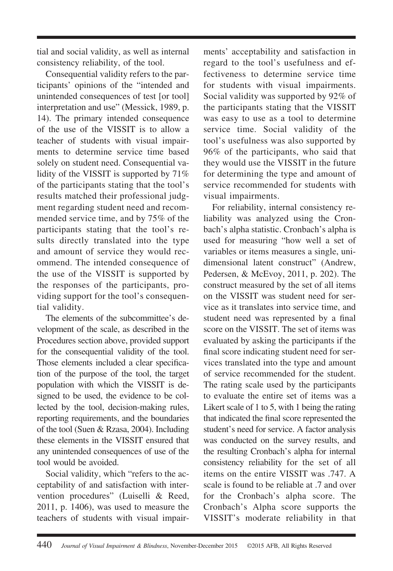tial and social validity, as well as internal consistency reliability, of the tool.

Consequential validity refers to the participants' opinions of the "intended and unintended consequences of test [or tool] interpretation and use" (Messick, 1989, p. 14). The primary intended consequence of the use of the VISSIT is to allow a teacher of students with visual impairments to determine service time based solely on student need. Consequential validity of the VISSIT is supported by 71% of the participants stating that the tool's results matched their professional judgment regarding student need and recommended service time, and by 75% of the participants stating that the tool's results directly translated into the type and amount of service they would recommend. The intended consequence of the use of the VISSIT is supported by the responses of the participants, providing support for the tool's consequential validity.

The elements of the subcommittee's development of the scale, as described in the Procedures section above, provided support for the consequential validity of the tool. Those elements included a clear specification of the purpose of the tool, the target population with which the VISSIT is designed to be used, the evidence to be collected by the tool, decision-making rules, reporting requirements, and the boundaries of the tool (Suen & Rzasa, 2004). Including these elements in the VISSIT ensured that any unintended consequences of use of the tool would be avoided.

Social validity, which "refers to the acceptability of and satisfaction with intervention procedures" (Luiselli & Reed, 2011, p. 1406), was used to measure the teachers of students with visual impair-

ments' acceptability and satisfaction in regard to the tool's usefulness and effectiveness to determine service time for students with visual impairments. Social validity was supported by 92% of the participants stating that the VISSIT was easy to use as a tool to determine service time. Social validity of the tool's usefulness was also supported by 96% of the participants, who said that they would use the VISSIT in the future for determining the type and amount of service recommended for students with visual impairments.

For reliability, internal consistency reliability was analyzed using the Cronbach's alpha statistic. Cronbach's alpha is used for measuring "how well a set of variables or items measures a single, unidimensional latent construct" (Andrew, Pedersen, & McEvoy, 2011, p. 202). The construct measured by the set of all items on the VISSIT was student need for service as it translates into service time, and student need was represented by a final score on the VISSIT. The set of items was evaluated by asking the participants if the final score indicating student need for services translated into the type and amount of service recommended for the student. The rating scale used by the participants to evaluate the entire set of items was a Likert scale of 1 to 5, with 1 being the rating that indicated the final score represented the student's need for service. A factor analysis was conducted on the survey results, and the resulting Cronbach's alpha for internal consistency reliability for the set of all items on the entire VISSIT was 747. A scale is found to be reliable at .7 and over for the Cronbach's alpha score. The Cronbach's Alpha score supports the VISSIT's moderate reliability in that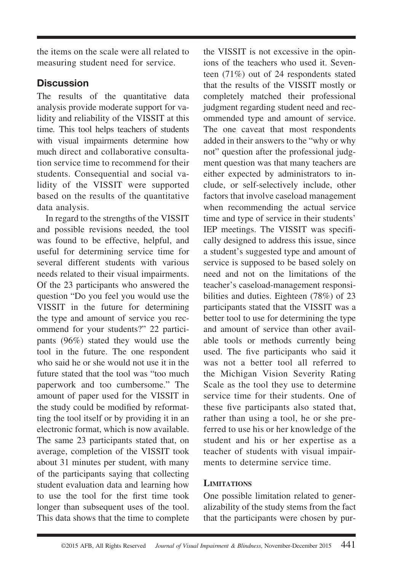the items on the scale were all related to measuring student need for service.

## **Discussion**

The results of the quantitative data analysis provide moderate support for validity and reliability of the VISSIT at this time*.* This tool helps teachers of students with visual impairments determine how much direct and collaborative consultation service time to recommend for their students. Consequential and social validity of the VISSIT were supported based on the results of the quantitative data analysis.

In regard to the strengths of the VISSIT and possible revisions needed*,* the tool was found to be effective, helpful, and useful for determining service time for several different students with various needs related to their visual impairments. Of the 23 participants who answered the question "Do you feel you would use the VISSIT in the future for determining the type and amount of service you recommend for your students?" 22 participants (96%) stated they would use the tool in the future. The one respondent who said he or she would not use it in the future stated that the tool was "too much paperwork and too cumbersome." The amount of paper used for the VISSIT in the study could be modified by reformatting the tool itself or by providing it in an electronic format, which is now available. The same 23 participants stated that, on average, completion of the VISSIT took about 31 minutes per student, with many of the participants saying that collecting student evaluation data and learning how to use the tool for the first time took longer than subsequent uses of the tool. This data shows that the time to complete

the VISSIT is not excessive in the opinions of the teachers who used it. Seventeen (71%) out of 24 respondents stated that the results of the VISSIT mostly or completely matched their professional judgment regarding student need and recommended type and amount of service. The one caveat that most respondents added in their answers to the "why or why not" question after the professional judgment question was that many teachers are either expected by administrators to include, or self-selectively include, other factors that involve caseload management when recommending the actual service time and type of service in their students' IEP meetings. The VISSIT was specifically designed to address this issue, since a student's suggested type and amount of service is supposed to be based solely on need and not on the limitations of the teacher's caseload-management responsibilities and duties. Eighteen (78%) of 23 participants stated that the VISSIT was a better tool to use for determining the type and amount of service than other available tools or methods currently being used. The five participants who said it was not a better tool all referred to the Michigan Vision Severity Rating Scale as the tool they use to determine service time for their students. One of these five participants also stated that, rather than using a tool, he or she preferred to use his or her knowledge of the student and his or her expertise as a teacher of students with visual impairments to determine service time.

## **LIMITATIONS**

One possible limitation related to generalizability of the study stems from the fact that the participants were chosen by pur-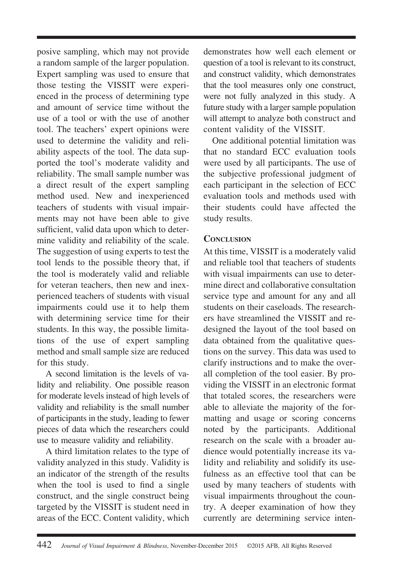posive sampling, which may not provide a random sample of the larger population. Expert sampling was used to ensure that those testing the VISSIT were experienced in the process of determining type and amount of service time without the use of a tool or with the use of another tool. The teachers' expert opinions were used to determine the validity and reliability aspects of the tool. The data supported the tool's moderate validity and reliability. The small sample number was a direct result of the expert sampling method used. New and inexperienced teachers of students with visual impairments may not have been able to give sufficient, valid data upon which to determine validity and reliability of the scale. The suggestion of using experts to test the tool lends to the possible theory that, if the tool is moderately valid and reliable for veteran teachers, then new and inexperienced teachers of students with visual impairments could use it to help them with determining service time for their students. In this way, the possible limitations of the use of expert sampling method and small sample size are reduced for this study.

A second limitation is the levels of validity and reliability. One possible reason for moderate levels instead of high levels of validity and reliability is the small number of participants in the study, leading to fewer pieces of data which the researchers could use to measure validity and reliability.

A third limitation relates to the type of validity analyzed in this study. Validity is an indicator of the strength of the results when the tool is used to find a single construct, and the single construct being targeted by the VISSIT is student need in areas of the ECC. Content validity, which

demonstrates how well each element or question of a tool is relevant to its construct, and construct validity, which demonstrates that the tool measures only one construct, were not fully analyzed in this study. A future study with a larger sample population will attempt to analyze both construct and content validity of the VISSIT.

One additional potential limitation was that no standard ECC evaluation tools were used by all participants. The use of the subjective professional judgment of each participant in the selection of ECC evaluation tools and methods used with their students could have affected the study results.

## **CONCLUSION**

At this time, VISSIT is a moderately valid and reliable tool that teachers of students with visual impairments can use to determine direct and collaborative consultation service type and amount for any and all students on their caseloads. The researchers have streamlined the VISSIT and redesigned the layout of the tool based on data obtained from the qualitative questions on the survey. This data was used to clarify instructions and to make the overall completion of the tool easier. By providing the VISSIT in an electronic format that totaled scores, the researchers were able to alleviate the majority of the formatting and usage or scoring concerns noted by the participants. Additional research on the scale with a broader audience would potentially increase its validity and reliability and solidify its usefulness as an effective tool that can be used by many teachers of students with visual impairments throughout the country. A deeper examination of how they currently are determining service inten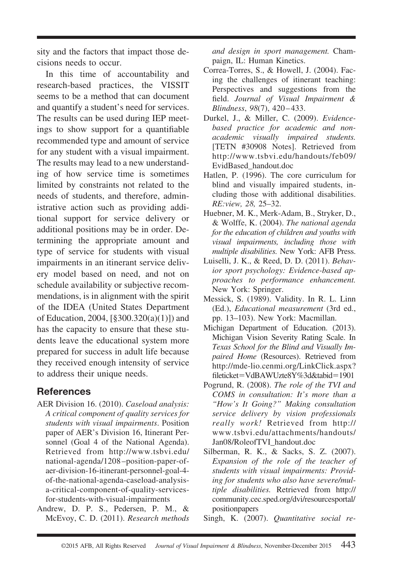sity and the factors that impact those decisions needs to occur.

In this time of accountability and research-based practices, the VISSIT seems to be a method that can document and quantify a student's need for services. The results can be used during IEP meetings to show support for a quantifiable recommended type and amount of service for any student with a visual impairment. The results may lead to a new understanding of how service time is sometimes limited by constraints not related to the needs of students, and therefore, administrative action such as providing additional support for service delivery or additional positions may be in order. Determining the appropriate amount and type of service for students with visual impairments in an itinerant service delivery model based on need, and not on schedule availability or subjective recommendations, is in alignment with the spirit of the IDEA (United States Department of Education, 2004, [§300.320(a)(1)]) and has the capacity to ensure that these students leave the educational system more prepared for success in adult life because they received enough intensity of service to address their unique needs.

## **References**

- AER Division 16. (2010). *Caseload analysis: A critical component of quality services for students with visual impairments*. Position paper of AER's Division 16, Itinerant Personnel (Goal 4 of the National Agenda). Retrieved from [http://www.tsbvi.edu/](http://www.tsbvi.edu/national-agenda/1208–position-paper-of-aer-division-16-itinerant-personnel-goal-4-of-the-national-agenda-caseload-analysis-a-critical-component-of-quality-services-for-students-with-visual-impairments) [national-agenda/1208 –position-paper-of](http://www.tsbvi.edu/national-agenda/1208–position-paper-of-aer-division-16-itinerant-personnel-goal-4-of-the-national-agenda-caseload-analysis-a-critical-component-of-quality-services-for-students-with-visual-impairments)[aer-division-16-itinerant-personnel-goal-4](http://www.tsbvi.edu/national-agenda/1208–position-paper-of-aer-division-16-itinerant-personnel-goal-4-of-the-national-agenda-caseload-analysis-a-critical-component-of-quality-services-for-students-with-visual-impairments) [of-the-national-agenda-caseload-analysis](http://www.tsbvi.edu/national-agenda/1208–position-paper-of-aer-division-16-itinerant-personnel-goal-4-of-the-national-agenda-caseload-analysis-a-critical-component-of-quality-services-for-students-with-visual-impairments)[a-critical-component-of-quality-services](http://www.tsbvi.edu/national-agenda/1208–position-paper-of-aer-division-16-itinerant-personnel-goal-4-of-the-national-agenda-caseload-analysis-a-critical-component-of-quality-services-for-students-with-visual-impairments)[for-students-with-visual-impairments](http://www.tsbvi.edu/national-agenda/1208–position-paper-of-aer-division-16-itinerant-personnel-goal-4-of-the-national-agenda-caseload-analysis-a-critical-component-of-quality-services-for-students-with-visual-impairments)
- Andrew, D. P. S., Pedersen, P. M., & McEvoy, C. D. (2011). *Research methods*

*and design in sport management.* Champaign, IL: Human Kinetics.

- Correa-Torres, S., & Howell, J. (2004). Facing the challenges of itinerant teaching: Perspectives and suggestions from the field. *Journal of Visual Impairment & Blindness*, *98*(7), 420 – 433.
- Durkel, J., & Miller, C. (2009). *Evidencebased practice for academic and nonacademic visually impaired students.* [TETN #30908 Notes]. Retrieved from [http://www.tsbvi.edu/handouts/feb09/](http://www.tsbvi.edu/handouts/feb09/EvidBased_handout.doc) [EvidBased\\_handout.doc](http://www.tsbvi.edu/handouts/feb09/EvidBased_handout.doc)
- Hatlen, P. (1996). The core curriculum for blind and visually impaired students, including those with additional disabilities. *RE:view, 28,* 25–32.
- Huebner, M. K., Merk-Adam, B., Stryker, D., & Wolffe, K. (2004). *The national agenda for the education of children and youths with visual impairments, including those with multiple disabilities.* New York: AFB Press.
- Luiselli, J. K., & Reed, D. D. (2011). *Behavior sport psychology: Evidence-based approaches to performance enhancement.* New York: Springer.
- Messick, S. (1989). Validity. In R. L. Linn (Ed.), *Educational measurement* (3rd ed., pp. 13–103). New York: Macmillan.
- Michigan Department of Education. (2013). Michigan Vision Severity Rating Scale. In *Texas School for the Blind and Visually Impaired Home* (Resources). Retrieved from [http://mde-lio.cenmi.org/LinkClick.aspx?](http://mde-lio.cenmi.org/LinkClick.aspx?fileticket=VdBAWUzte8Y%3d&tabid=1901) fileticket=[VdBAWUzte8Y%3d&tabid](http://mde-lio.cenmi.org/LinkClick.aspx?fileticket=VdBAWUzte8Y%3d&tabid=1901)=1901
- Pogrund, R. (2008). *The role of the TVI and COMS in consultation: It's more than a "How's It Going?" Making consultation service delivery by vision professionals really work!* Retrieved from [http://](http://www.tsbvi.edu/attachments/handouts/Jan08/RoleofTVI_handout.doc) [www.tsbvi.edu/attachments/handouts/](http://www.tsbvi.edu/attachments/handouts/Jan08/RoleofTVI_handout.doc) [Jan08/RoleofTVI\\_handout.doc](http://www.tsbvi.edu/attachments/handouts/Jan08/RoleofTVI_handout.doc)
- Silberman, R. K., & Sacks, S. Z. (2007). *Expansion of the role of the teacher of students with visual impairments: Providing for students who also have severe/multiple disabilities.* Retrieved from [http://](http://community.cec.sped.org/dvi/resourcesportal/positionpapers) [community.cec.sped.org/dvi/resourcesportal/](http://community.cec.sped.org/dvi/resourcesportal/positionpapers) [positionpapers](http://community.cec.sped.org/dvi/resourcesportal/positionpapers)
- Singh, K. (2007). *Quantitative social re-*